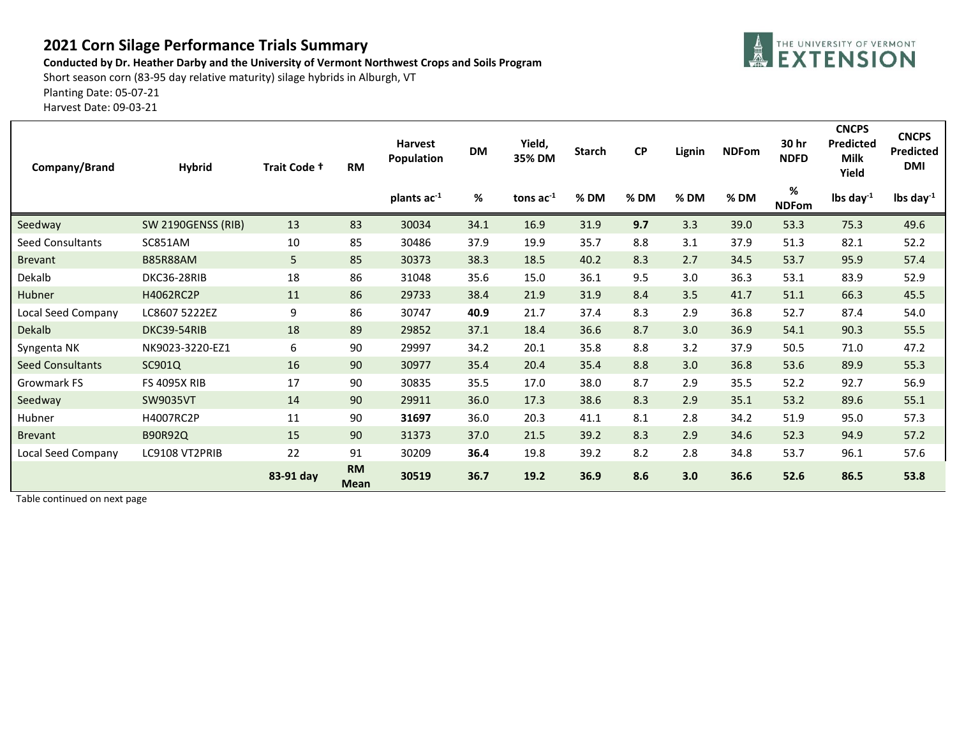## **2021 Corn Silage Performance Trials Summary**

**Conducted by Dr. Heather Darby and the University of Vermont Northwest Crops and Soils Program**

Short season corn (83-95 day relative maturity) silage hybrids in Alburgh, VT

Planting Date: 05-07-21

Harvest Date: 09-03-21

| Company/Brand           | <b>Hybrid</b>             | Trait Code + | <b>RM</b>                | <b>Harvest</b><br><b>Population</b> | <b>DM</b> | Yield,<br>35% DM | <b>Starch</b> | CP   | Lignin | <b>NDFom</b> | 30 hr<br><b>NDFD</b> | <b>CNCPS</b><br><b>Predicted</b><br><b>Milk</b><br>Yield | <b>CNCPS</b><br><b>Predicted</b><br><b>DMI</b> |
|-------------------------|---------------------------|--------------|--------------------------|-------------------------------------|-----------|------------------|---------------|------|--------|--------------|----------------------|----------------------------------------------------------|------------------------------------------------|
|                         |                           |              |                          | plants ac-1                         | $\%$      | tons $ac^{-1}$   | % DM          | % DM | %DM    | %DM          | %<br><b>NDFom</b>    | lbs day $^{-1}$                                          | lbs day $^{-1}$                                |
| Seedway                 | <b>SW 2190GENSS (RIB)</b> | 13           | 83                       | 30034                               | 34.1      | 16.9             | 31.9          | 9.7  | 3.3    | 39.0         | 53.3                 | 75.3                                                     | 49.6                                           |
| <b>Seed Consultants</b> | SC851AM                   | 10           | 85                       | 30486                               | 37.9      | 19.9             | 35.7          | 8.8  | 3.1    | 37.9         | 51.3                 | 82.1                                                     | 52.2                                           |
| <b>Brevant</b>          | <b>B85R88AM</b>           | 5            | 85                       | 30373                               | 38.3      | 18.5             | 40.2          | 8.3  | 2.7    | 34.5         | 53.7                 | 95.9                                                     | 57.4                                           |
| Dekalb                  | DKC36-28RIB               | 18           | 86                       | 31048                               | 35.6      | 15.0             | 36.1          | 9.5  | 3.0    | 36.3         | 53.1                 | 83.9                                                     | 52.9                                           |
| Hubner                  | H4062RC2P                 | 11           | 86                       | 29733                               | 38.4      | 21.9             | 31.9          | 8.4  | 3.5    | 41.7         | 51.1                 | 66.3                                                     | 45.5                                           |
| Local Seed Company      | LC8607 5222EZ             | 9            | 86                       | 30747                               | 40.9      | 21.7             | 37.4          | 8.3  | 2.9    | 36.8         | 52.7                 | 87.4                                                     | 54.0                                           |
| <b>Dekalb</b>           | DKC39-54RIB               | 18           | 89                       | 29852                               | 37.1      | 18.4             | 36.6          | 8.7  | 3.0    | 36.9         | 54.1                 | 90.3                                                     | 55.5                                           |
| Syngenta NK             | NK9023-3220-EZ1           | 6            | 90                       | 29997                               | 34.2      | 20.1             | 35.8          | 8.8  | 3.2    | 37.9         | 50.5                 | 71.0                                                     | 47.2                                           |
| <b>Seed Consultants</b> | SC901Q                    | 16           | 90                       | 30977                               | 35.4      | 20.4             | 35.4          | 8.8  | 3.0    | 36.8         | 53.6                 | 89.9                                                     | 55.3                                           |
| Growmark FS             | <b>FS 4095X RIB</b>       | 17           | 90                       | 30835                               | 35.5      | 17.0             | 38.0          | 8.7  | 2.9    | 35.5         | 52.2                 | 92.7                                                     | 56.9                                           |
| Seedway                 | <b>SW9035VT</b>           | 14           | 90                       | 29911                               | 36.0      | 17.3             | 38.6          | 8.3  | 2.9    | 35.1         | 53.2                 | 89.6                                                     | 55.1                                           |
| Hubner                  | H4007RC2P                 | 11           | 90                       | 31697                               | 36.0      | 20.3             | 41.1          | 8.1  | 2.8    | 34.2         | 51.9                 | 95.0                                                     | 57.3                                           |
| <b>Brevant</b>          | B90R92Q                   | 15           | 90                       | 31373                               | 37.0      | 21.5             | 39.2          | 8.3  | 2.9    | 34.6         | 52.3                 | 94.9                                                     | 57.2                                           |
| Local Seed Company      | LC9108 VT2PRIB            | 22           | 91                       | 30209                               | 36.4      | 19.8             | 39.2          | 8.2  | 2.8    | 34.8         | 53.7                 | 96.1                                                     | 57.6                                           |
|                         |                           | 83-91 day    | <b>RM</b><br><b>Mean</b> | 30519                               | 36.7      | 19.2             | 36.9          | 8.6  | 3.0    | 36.6         | 52.6                 | 86.5                                                     | 53.8                                           |

Table continued on next page